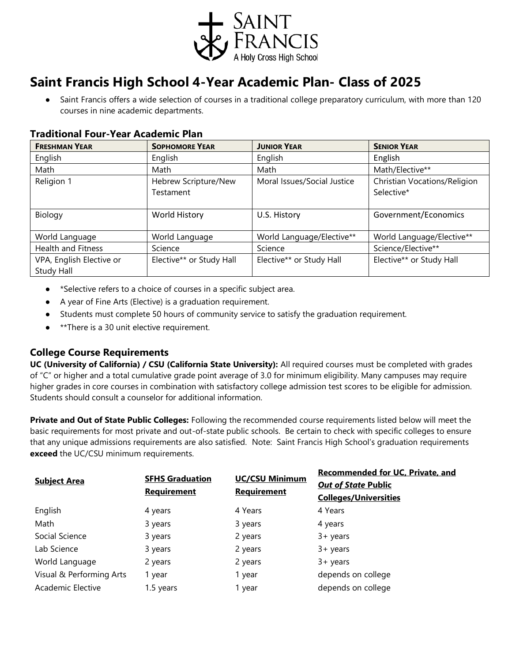

## **Saint Francis High School 4-Year Academic Plan- Class of 2025**

Saint Francis offers a wide selection of courses in a traditional college preparatory curriculum, with more than 120 courses in nine academic departments.

| <b>Traditional Four-Year Academic Plan</b> |  |  |
|--------------------------------------------|--|--|
|                                            |  |  |

| <b>FRESHMAN YEAR</b>      | <b>SOPHOMORE YEAR</b>    | <b>JUNIOR YEAR</b>          | <b>SENIOR YEAR</b>           |
|---------------------------|--------------------------|-----------------------------|------------------------------|
| English                   | English                  | English                     | English                      |
| Math                      | Math                     | Math                        | Math/Elective**              |
| Religion 1                | Hebrew Scripture/New     | Moral Issues/Social Justice | Christian Vocations/Religion |
|                           | Testament                |                             | Selective*                   |
|                           |                          |                             |                              |
| Biology                   | World History            | U.S. History                | Government/Economics         |
|                           |                          |                             |                              |
| World Language            | World Language           | World Language/Elective**   | World Language/Elective**    |
| <b>Health and Fitness</b> | Science                  | Science                     | Science/Elective**           |
| VPA, English Elective or  | Elective** or Study Hall | Elective** or Study Hall    | Elective** or Study Hall     |
| Study Hall                |                          |                             |                              |

- \*Selective refers to a choice of courses in a specific subject area.
- A year of Fine Arts (Elective) is a graduation requirement.
- Students must complete 50 hours of community service to satisfy the graduation requirement.
- \*\*There is a 30 unit elective requirement.

## **College Course Requirements**

**UC (University of California) / CSU (California State University):** All required courses must be completed with grades of "C" or higher and a total cumulative grade point average of 3.0 for minimum eligibility. Many campuses may require higher grades in core courses in combination with satisfactory college admission test scores to be eligible for admission. Students should consult a counselor for additional information.

**Private and Out of State Public Colleges:** Following the recommended course requirements listed below will meet the basic requirements for most private and out-of-state public schools. Be certain to check with specific colleges to ensure that any unique admissions requirements are also satisfied. Note: Saint Francis High School's graduation requirements **exceed** the UC/CSU minimum requirements.

| <b>Subject Area</b>      | <b>SFHS Graduation</b><br><b>Requirement</b> | <b>UC/CSU Minimum</b><br><b>Requirement</b> | <b>Recommended for UC, Private, and</b> |
|--------------------------|----------------------------------------------|---------------------------------------------|-----------------------------------------|
|                          |                                              |                                             | <b>Out of State Public</b>              |
|                          |                                              |                                             | <b>Colleges/Universities</b>            |
| English                  | 4 years                                      | 4 Years                                     | 4 Years                                 |
| Math                     | 3 years                                      | 3 years                                     | 4 years                                 |
| Social Science           | 3 years                                      | 2 years                                     | $3 + \gamma$ ears                       |
| Lab Science              | 3 years                                      | 2 years                                     | $3 + \gamma$ ears                       |
| World Language           | 2 years                                      | 2 years                                     | $3 + \gamma$ ears                       |
| Visual & Performing Arts | 1 year                                       | 1 year                                      | depends on college                      |
| Academic Elective        | 1.5 years                                    | 1 year                                      | depends on college                      |